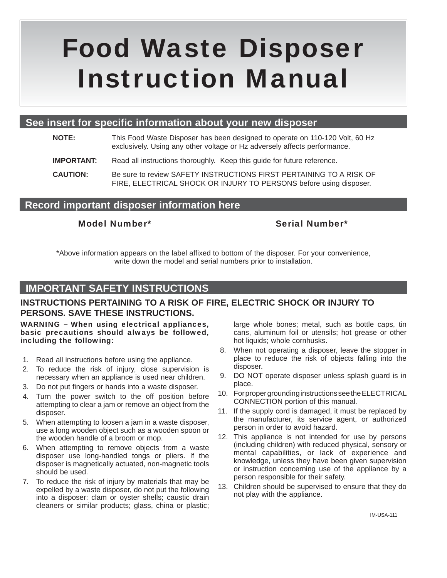# Food Waste Disposer Instruction Manual

## **See insert for specific information about your new disposer**

- **NOTE:** This Food Waste Disposer has been designed to operate on 110-120 Volt, 60 Hz exclusively. Using any other voltage or Hz adversely affects performance.
- **IMPORTANT:** Read all instructions thoroughly. Keep this guide for future reference.

**CAUTION:** Be sure to review SAFETY INSTRUCTIONS FIRST PERTAINING TO A RISK OF FIRE, ELECTRICAL SHOCK OR INJURY TO PERSONS before using disposer.

## **Record important disposer information here**

### Model Number\* Serial Number\*

\*Above information appears on the label affixed to bottom of the disposer. For your convenience, write down the model and serial numbers prior to installation.

## **IMPORTANT SAFETY INSTRUCTIONS**

## **INSTRUCTIONS PERTAINING TO A RISK OF FIRE, ELECTRIC SHOCK OR INJURY TO PERSONS. SAVE THESE INSTRUCTIONS.**

#### WARNING – When using electrical appliances, basic precautions should always be followed, including the following:

- 1. Read all instructions before using the appliance.
- 2. To reduce the risk of injury, close supervision is necessary when an appliance is used near children.
- 3. Do not put fingers or hands into a waste disposer.
- 4. Turn the power switch to the off position before attempting to clear a jam or remove an object from the disposer.
- 5. When attempting to loosen a jam in a waste disposer, use a long wooden object such as a wooden spoon or the wooden handle of a broom or mop.
- 6. When attempting to remove objects from a waste disposer use long-handled tongs or pliers. If the disposer is magnetically actuated, non-magnetic tools should be used.
- 7. To reduce the risk of injury by materials that may be expelled by a waste disposer, do not put the following into a disposer: clam or oyster shells; caustic drain cleaners or similar products; glass, china or plastic;

large whole bones; metal, such as bottle caps, tin cans, aluminum foil or utensils; hot grease or other hot liquids; whole cornhusks.

- 8. When not operating a disposer, leave the stopper in place to reduce the risk of objects falling into the disposer.
- 9. DO NOT operate disposer unless splash guard is in place.
- 10. For proper grounding instructions see the ELECTRICAL CONNECTION portion of this manual.
- 11. If the supply cord is damaged, it must be replaced by the manufacturer, its service agent, or authorized person in order to avoid hazard.
- 12. This appliance is not intended for use by persons (including children) with reduced physical, sensory or mental capabilities, or lack of experience and knowledge, unless they have been given supervision or instruction concerning use of the appliance by a person responsible for their safety.
- 13. Children should be supervised to ensure that they do not play with the appliance.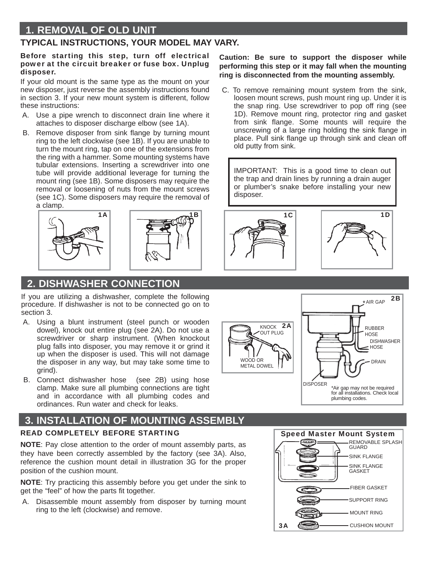## **1. REMOVAL OF OLD UNIT**

### **TYPICAL INSTRUCTIONS, YOUR MODEL MAY VARY.**

#### Before starting this step, turn off electrical power at the circuit breaker or fuse box. Unplug disposer.

If your old mount is the same type as the mount on your new disposer, just reverse the assembly instructions found in section 3. If your new mount system is different, follow these instructions:

- A. Use a pipe wrench to disconnect drain line where it attaches to disposer discharge elbow (see 1A).
- B. Remove disposer from sink flange by turning mount ring to the left clockwise (see 1B). If you are unable to turn the mount ring, tap on one of the extensions from the ring with a hammer. Some mounting systems have tubular extensions. Inserting a screwdriver into one tube will provide additional leverage for turning the mount ring (see 1B). Some disposers may require the removal or loosening of nuts from the mount screws (see 1C). Some disposers may require the removal of a clamp.



# **2. DISHWASHER CONNECTION**

If you are utilizing a dishwasher, complete the following procedure. If dishwasher is not to be connected go on to section 3.

- A. Using a blunt instrument (steel punch or wooden dowel), knock out entire plug (see 2A). Do not use a screwdriver or sharp instrument. (When knockout plug falls into disposer, you may remove it or grind it up when the disposer is used. This will not damage the disposer in any way, but may take some time to grind).
- B. Connect dishwasher hose (see 2B) using hose clamp. Make sure all plumbing connections are tight and in accordance with all plumbing codes and ordinances. Run water and check for leaks.

# **3. INSTALLATION OF MOUNTING ASSEMBLY**

#### READ COMPLETELY BEFORE STARTING

**NOTE**: Pay close attention to the order of mount assembly parts, as they have been correctly assembled by the factory (see 3A). Also, reference the cushion mount detail in illustration 3G for the proper position of the cushion mount.

**NOTE**: Try practicing this assembly before you get under the sink to get the "feel" of how the parts fit together.

 A. Disassemble mount assembly from disposer by turning mount ring to the left (clockwise) and remove.

## Speed Master Mount System SUPPORT RING SINK FLANGE SINK FLANGE **GASKET** FIBER GASKET REMOVABLE SPLASH **GUARD**

CUSHION MOUNT

MOUNT RING

**Caution: Be sure to support the disposer while performing this step or it may fall when the mounting ring is disconnected from the mounting assembly.**

 C. To remove remaining mount system from the sink, loosen mount screws, push mount ring up. Under it is the snap ring. Use screwdriver to pop off ring (see 1D). Remove mount ring, protector ring and gasket from sink flange. Some mounts will require the unscrewing of a large ring holding the sink flange in place. Pull sink flange up through sink and clean off old putty from sink.

IMPORTANT: This is a good time to clean out the trap and drain lines by running a drain auger or plumber's snake before installing your new disposer.







3A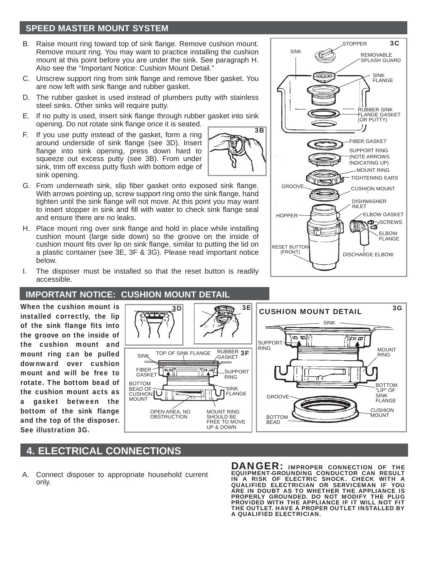## **SPEED MASTER MOUNT SYSTEM**

- Raise mount ring toward top of sink flange. Remove cushion mount. Remove mount ring. You may want to practice installing the cushion mount at this point before you are under the sink. See paragraph H. Also see the "Important Notice: Cushion Mount Detail."
- C. Unscrew support ring from sink flange and remove fiber gasket. You are now left with sink flange and rubber gasket.
- D. The rubber gasket is used instead of plumbers putty with stainless steel sinks. Other sinks will require putty.
- E. If no putty is used, insert sink flange through rubber gasket into sink opening. Do not rotate sink flange once it is seated.
- F. If you use putty instead of the gasket, form a ring around underside of sink flange (see 3D). Insert flange into sink opening, press down hard to squeeze out excess putty (see 3B). From under sink, trim off excess putty flush with bottom edge of sink opening.
- 3B
- G. From underneath sink, slip fiber gasket onto exposed sink flange. With arrows pointing up, screw support ring onto the sink flange, hand tighten until the sink flange will not move. At this point you may want to insert stopper in sink and fill with water to check sink flange seal and ensure there are no leaks.
- H. Place mount ring over sink flange and hold in place while installing cushion mount (large side down) so the groove on the inside of cushion mount fits over lip on sink flange, similar to putting the lid on a plastic container (see 3E, 3F & 3G). Please read important notice below.
- I. The disposer must be installed so that the reset button is readily accessible.

#### **IMPORTANT NOTICE: CUSHION MOUNT DETAIL**

When the cushion mount is installed correctly, the lip of the sink flange fits into the groove on the inside of the cushion mount and mount ring can be pulled downward over cushion mount and will be free to rotate. The bottom bead of the cushion mount acts as a gasket between the bottom of the sink flange and the top of the disposer. See illustration 3G.



## **4. ELECTRICAL CONNECTIONS**

 A. Connect disposer to appropriate household current only.

DANGER: IMPROPER CONNECTION OF THE EQUIPMENT-GROUNDING CONDUCTOR CAN RESULT IN A RISK OF ELECTRIC SHOCK. CHECK WITH A QUALIFIED ELECTRICIAN OR SERVICEMAN IF YOU ARE IN DOUBT AS TO WHETHER THE APPLIANCE IS PROPERLY GROUNDED. DO NOT MODIFY THE PLUG PROVIDED WITH THE APPLIANCE IF IT WILL NOT FIT THE OUTLET. HAVE A PROPER OUTLET INSTALLED BY A QUALIFIED ELECTRICIAN.

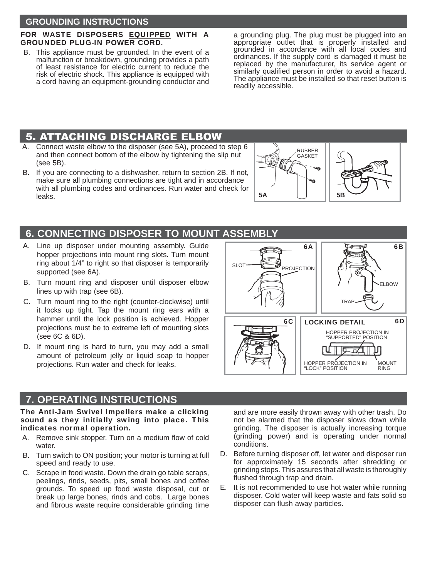#### **GROUNDING INSTRUCTIONS**

#### FOR WASTE DISPOSERS EQUIPPED WITH A GROUNDED PLUG-IN POWER CORD.

 B. This appliance must be grounded. In the event of a malfunction or breakdown, grounding provides a path of least resistance for electric current to reduce the risk of electric shock. This appliance is equipped with a cord having an equipment-grounding conductor and

a grounding plug. The plug must be plugged into an appropriate outlet that is properly installed and grounded in accordance with all local codes and ordinances. If the supply cord is damaged it must be replaced by the manufacturer, its service agent or similarly qualified person in order to avoid a hazard. The appliance must be installed so that reset button is readily accessible.

## 5. ATTACHING DISCHARGE ELBOW

- A. Connect waste elbow to the disposer (see 5A), proceed to step 6 and then connect bottom of the elbow by tightening the slip nut (see 5B).
- B. If you are connecting to a dishwasher, return to section 2B. If not, make sure all plumbing connections are tight and in accordance with all plumbing codes and ordinances. Run water and check for leaks.



## **6. CONNECTING DISPOSER TO MOUNT ASSEMBLY**

- A. Line up disposer under mounting assembly. Guide hopper projections into mount ring slots. Turn mount ring about 1/4" to right so that disposer is temporarily supported (see 6A).
- B. Turn mount ring and disposer until disposer elbow lines up with trap (see 6B).
- C. Turn mount ring to the right (counter-clockwise) until it locks up tight. Tap the mount ring ears with a hammer until the lock position is achieved. Hopper projections must be to extreme left of mounting slots (see 6C & 6D).
- D. If mount ring is hard to turn, you may add a small amount of petroleum jelly or liquid soap to hopper projections. Run water and check for leaks.

## **7. OPERATING INSTRUCTIONS**

The Anti-Jam Swivel Impellers make a clicking sound as they initially swing into place. This indicates normal operation.

- A. Remove sink stopper. Turn on a medium flow of cold water
- B. Turn switch to ON position; your motor is turning at full speed and ready to use.
- C. Scrape in food waste. Down the drain go table scraps, peelings, rinds, seeds, pits, small bones and coffee grounds. To speed up food waste disposal, cut or break up large bones, rinds and cobs. Large bones and fibrous waste require considerable grinding time

and are more easily thrown away with other trash. Do not be alarmed that the disposer slows down while grinding. The disposer is actually increasing torque (grinding power) and is operating under normal conditions.

- D. Before turning disposer off, let water and disposer run for approximately 15 seconds after shredding or grinding stops. This assures that all waste is thoroughly flushed through trap and drain.
- E. It is not recommended to use hot water while running disposer. Cold water will keep waste and fats solid so disposer can flush away particles.

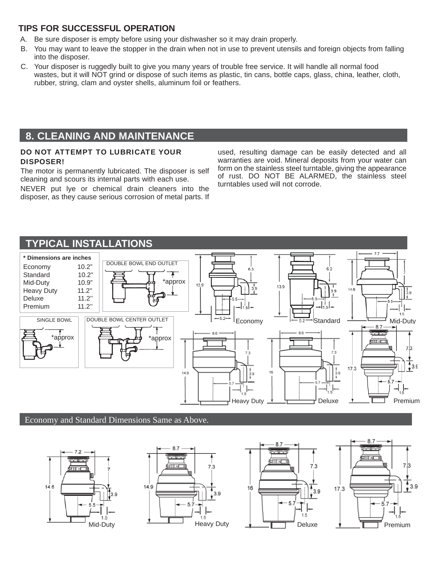## **TIPS FOR SUCCESSFUL OPERATION**

- A. Be sure disposer is empty before using your dishwasher so it may drain properly.
- B. You may want to leave the stopper in the drain when not in use to prevent utensils and foreign objects from falling into the disposer.
- C. Your disposer is ruggedly built to give you many years of trouble free service. It will handle all normal food wastes, but it will NOT grind or dispose of such items as plastic, tin cans, bottle caps, glass, china, leather, cloth, rubber, string, clam and oyster shells, aluminum foil or feathers.

# **8. CLEANING AND MAINTENANCE**

#### DO NOT ATTEMPT TO LUBRICATE YOUR DISPOSER!

The motor is permanently lubricated. The disposer is self cleaning and scours its internal parts with each use.

NEVER put lye or chemical drain cleaners into the disposer, as they cause serious corrosion of metal parts. If used, resulting damage can be easily detected and all warranties are void. Mineral deposits from your water can form on the stainless steel turntable, giving the appearance of rust. DO NOT BE ALARMED, the stainless steel turntables used will not corrode.



#### Economy and Standard Dimensions Same as Above.